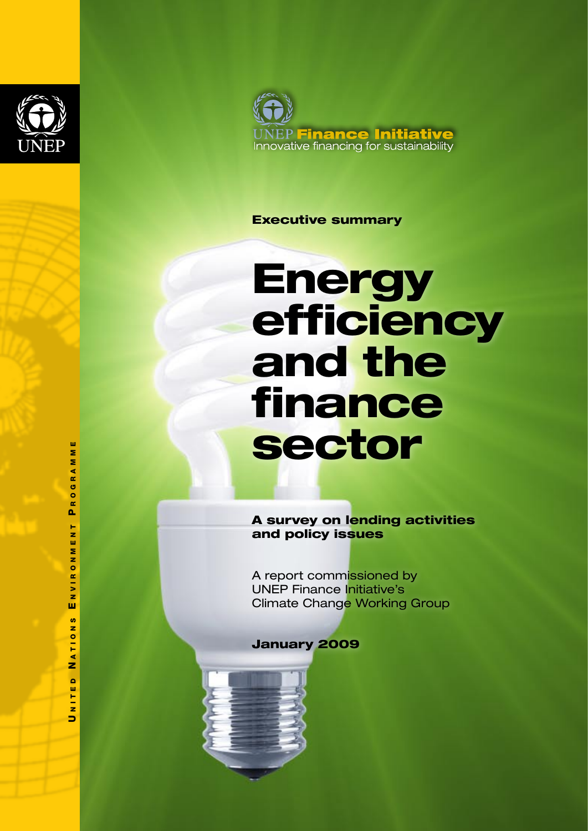



#### Executive summary

# **Energy** efficiency and the finance sector

A survey on lending activities and policy issues

A report commissioned by UNEP Finance Initiative's Climate Change Working Group

#### January 2009



 n i t e d N a t i o n s E n v i r o n m e n t P r o g r a m m eGRAM  $\frac{0}{R}$  $\mathbf{a}$ N M E N T NVIRO ш ဖ **ATION** z  $\bullet$ NITEI

**W** z

 $\blacksquare$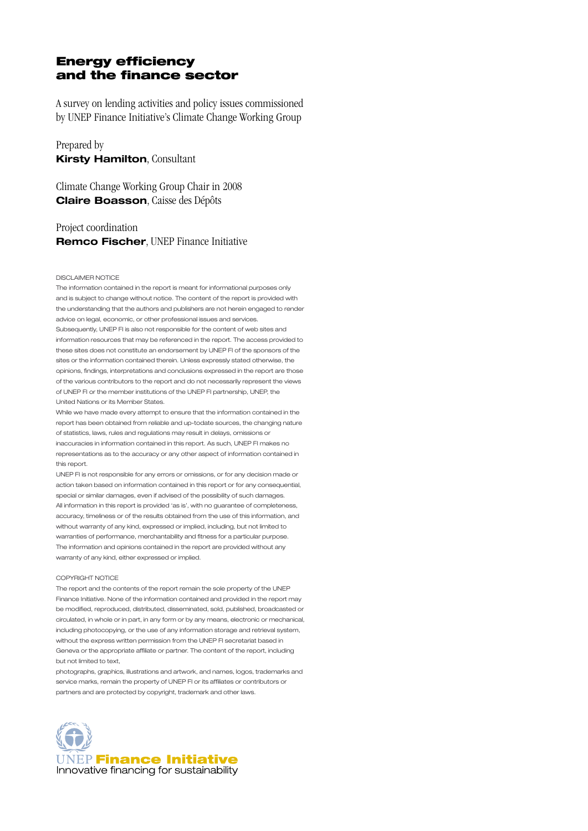#### Energy efficiency and the finance sector

A survey on lending activities and policy issues commissioned by UNEP Finance Initiative's Climate Change Working Group

Prepared by **Kirsty Hamilton**, Consultant

Climate Change Working Group Chair in 2008 **Claire Boasson**, Caisse des Dépôts

#### Project coordination **Remco Fischer**, UNEP Finance Initiative

#### DISCLAIMER NOTICE

The information contained in the report is meant for informational purposes only and is subject to change without notice. The content of the report is provided with the understanding that the authors and publishers are not herein engaged to render advice on legal, economic, or other professional issues and services. Subsequently, UNEP FI is also not responsible for the content of web sites and information resources that may be referenced in the report. The access provided to these sites does not constitute an endorsement by UNEP FI of the sponsors of the sites or the information contained therein. Unless expressly stated otherwise, the opinions, findings, interpretations and conclusions expressed in the report are those of the various contributors to the report and do not necessarily represent the views of UNEP FI or the member institutions of the UNEP FI partnership, UNEP, the United Nations or its Member States.

While we have made every attempt to ensure that the information contained in the report has been obtained from reliable and up-todate sources, the changing nature of statistics, laws, rules and regulations may result in delays, omissions or inaccuracies in information contained in this report. As such, UNEP FI makes no representations as to the accuracy or any other aspect of information contained in this report.

UNEP FI is not responsible for any errors or omissions, or for any decision made or action taken based on information contained in this report or for any consequential, special or similar damages, even if advised of the possibility of such damages. All information in this report is provided 'as is', with no guarantee of completeness, accuracy, timeliness or of the results obtained from the use of this information, and without warranty of any kind, expressed or implied, including, but not limited to warranties of performance, merchantability and fitness for a particular purpose. The information and opinions contained in the report are provided without any warranty of any kind, either expressed or implied.

#### COPYRIGHT NOTICE

The report and the contents of the report remain the sole property of the UNEP Finance Initiative. None of the information contained and provided in the report may be modified, reproduced, distributed, disseminated, sold, published, broadcasted or circulated, in whole or in part, in any form or by any means, electronic or mechanical, including photocopying, or the use of any information storage and retrieval system, without the express written permission from the UNEP FI secretariat based in Geneva or the appropriate affiliate or partner. The content of the report, including but not limited to text,

photographs, graphics, illustrations and artwork, and names, logos, trademarks and service marks, remain the property of UNEP FI or its affiliates or contributors or partners and are protected by copyright, trademark and other laws.

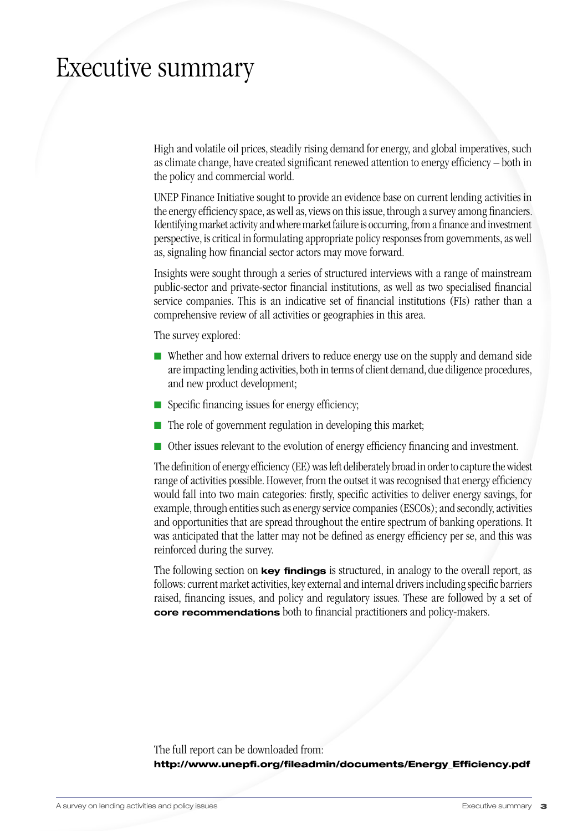### Executive summary

High and volatile oil prices, steadily rising demand for energy, and global imperatives, such as climate change, have created significant renewed attention to energy efficiency – both in the policy and commercial world.

UNEP Finance Initiative sought to provide an evidence base on current lending activities in the energy efficiency space, as well as, views on this issue, through a survey among financiers. Identifying market activity and where market failure is occurring, from a finance and investment perspective, is critical in formulating appropriate policy responses from governments, as well as, signaling how financial sector actors may move forward.

Insights were sought through a series of structured interviews with a range of mainstream public-sector and private-sector financial institutions, as well as two specialised financial service companies. This is an indicative set of financial institutions (FIs) rather than a comprehensive review of all activities or geographies in this area.

The survey explored:

- $\blacksquare$  Whether and how external drivers to reduce energy use on the supply and demand side are impacting lending activities, both in terms of client demand, due diligence procedures, and new product development;
- $\blacksquare$  Specific financing issues for energy efficiency;
- $\blacksquare$  The role of government regulation in developing this market;
- $\blacksquare$  Other issues relevant to the evolution of energy efficiency financing and investment.

The definition of energy efficiency (EE) was left deliberately broad in order to capture the widest range of activities possible. However, from the outset it was recognised that energy efficiency would fall into two main categories: firstly, specific activities to deliver energy savings, for example, through entities such as energy service companies (ESCOs); and secondly, activities and opportunities that are spread throughout the entire spectrum of banking operations. It was anticipated that the latter may not be defined as energy efficiency per se, and this was reinforced during the survey.

The following section on **key findings** is structured, in analogy to the overall report, as follows: current market activities, key external and internal drivers including specific barriers raised, financing issues, and policy and regulatory issues. These are followed by a set of **core recommendations** both to financial practitioners and policy-makers.

The full report can be downloaded from:

http://www.unepfi.org/fileadmin/documents/Energy\_Efficiency.pdf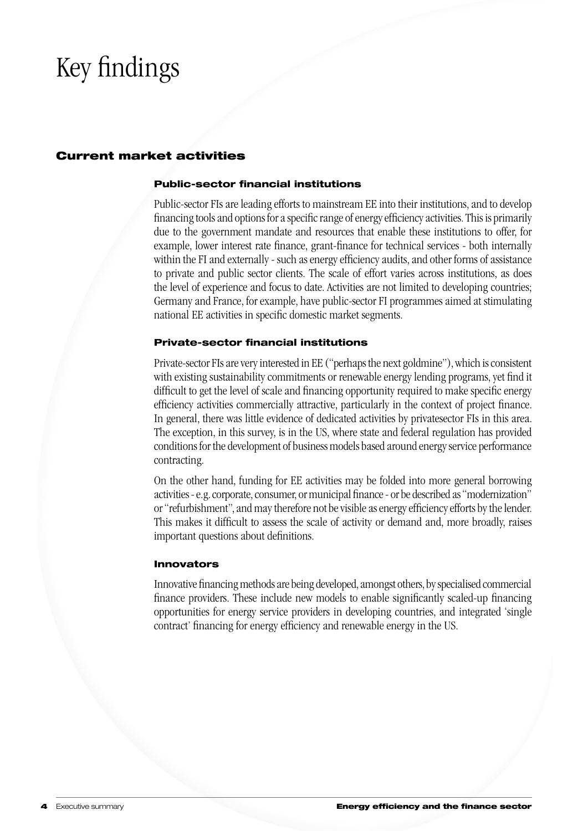# Key findings

#### Current market activities

#### Public-sector financial institutions

Public-sector FIs are leading efforts to mainstream EE into their institutions, and to develop financing tools and options for a specific range of energy efficiency activities. This is primarily due to the government mandate and resources that enable these institutions to offer, for example, lower interest rate finance, grant-finance for technical services - both internally within the FI and externally - such as energy efficiency audits, and other forms of assistance to private and public sector clients. The scale of effort varies across institutions, as does the level of experience and focus to date. Activities are not limited to developing countries; Germany and France, for example, have public-sector FI programmes aimed at stimulating national EE activities in specific domestic market segments.

#### Private-sector financial institutions

Private-sector FIs are very interested in EE ("perhaps the next goldmine"), which is consistent with existing sustainability commitments or renewable energy lending programs, yet find it difficult to get the level of scale and financing opportunity required to make specific energy efficiency activities commercially attractive, particularly in the context of project finance. In general, there was little evidence of dedicated activities by privatesector FIs in this area. The exception, in this survey, is in the US, where state and federal regulation has provided conditions for the development of business models based around energy service performance contracting.

On the other hand, funding for EE activities may be folded into more general borrowing activities - e.g. corporate, consumer, or municipal finance - or be described as "modernization" or "refurbishment", and may therefore not be visible as energy efficiency efforts by the lender. This makes it difficult to assess the scale of activity or demand and, more broadly, raises important questions about definitions.

#### Innovators

Innovative financing methods are being developed, amongst others, by specialised commercial finance providers. These include new models to enable significantly scaled-up financing opportunities for energy service providers in developing countries, and integrated 'single contract' financing for energy efficiency and renewable energy in the US.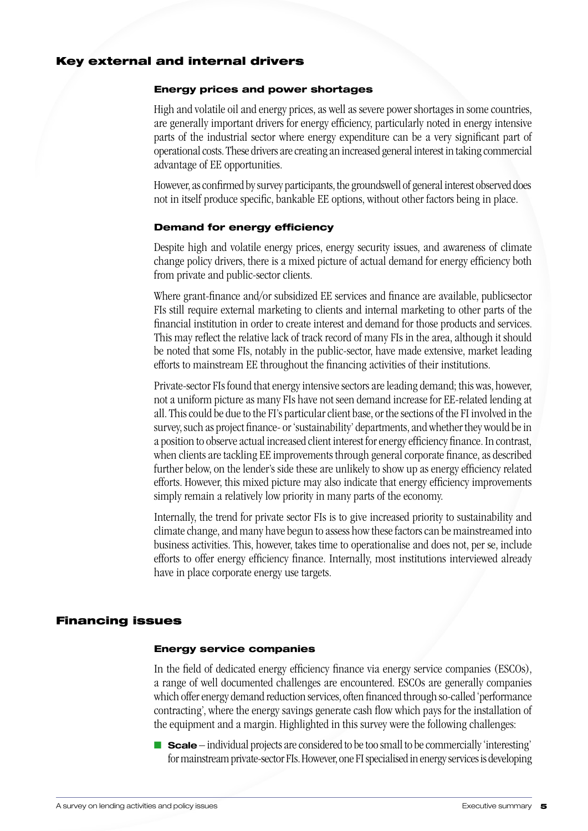#### Key external and internal drivers

#### Energy prices and power shortages

High and volatile oil and energy prices, as well as severe power shortages in some countries, are generally important drivers for energy efficiency, particularly noted in energy intensive parts of the industrial sector where energy expenditure can be a very significant part of operational costs. These drivers are creating an increased general interest in taking commercial advantage of EE opportunities.

However, as confirmed by survey participants, the groundswell of general interest observed does not in itself produce specific, bankable EE options, without other factors being in place.

#### Demand for energy efficiency

Despite high and volatile energy prices, energy security issues, and awareness of climate change policy drivers, there is a mixed picture of actual demand for energy efficiency both from private and public-sector clients.

Where grant-finance and/or subsidized EE services and finance are available, publicsector FIs still require external marketing to clients and internal marketing to other parts of the financial institution in order to create interest and demand for those products and services. This may reflect the relative lack of track record of many FIs in the area, although it should be noted that some FIs, notably in the public-sector, have made extensive, market leading efforts to mainstream EE throughout the financing activities of their institutions.

Private-sector FIs found that energy intensive sectors are leading demand; this was, however, not a uniform picture as many FIs have not seen demand increase for EE-related lending at all. This could be due to the FI's particular client base, or the sections of the FI involved in the survey, such as project finance- or 'sustainability' departments, and whether they would be in a position to observe actual increased client interest for energy efficiency finance. In contrast, when clients are tackling EE improvements through general corporate finance, as described further below, on the lender's side these are unlikely to show up as energy efficiency related efforts. However, this mixed picture may also indicate that energy efficiency improvements simply remain a relatively low priority in many parts of the economy.

Internally, the trend for private sector FIs is to give increased priority to sustainability and climate change, and many have begun to assess how these factors can be mainstreamed into business activities. This, however, takes time to operationalise and does not, per se, include efforts to offer energy efficiency finance. Internally, most institutions interviewed already have in place corporate energy use targets.

#### Financing issues

#### Energy service companies

In the field of dedicated energy efficiency finance via energy service companies (ESCOs), a range of well documented challenges are encountered. ESCOs are generally companies which offer energy demand reduction services, often financed through so-called 'performance contracting', where the energy savings generate cash flow which pays for the installation of the equipment and a margin. Highlighted in this survey were the following challenges:

**n Scale** – individual projects are considered to be too small to be commercially 'interesting' for mainstream private-sector FIs. However, one FI specialised in energy services is developing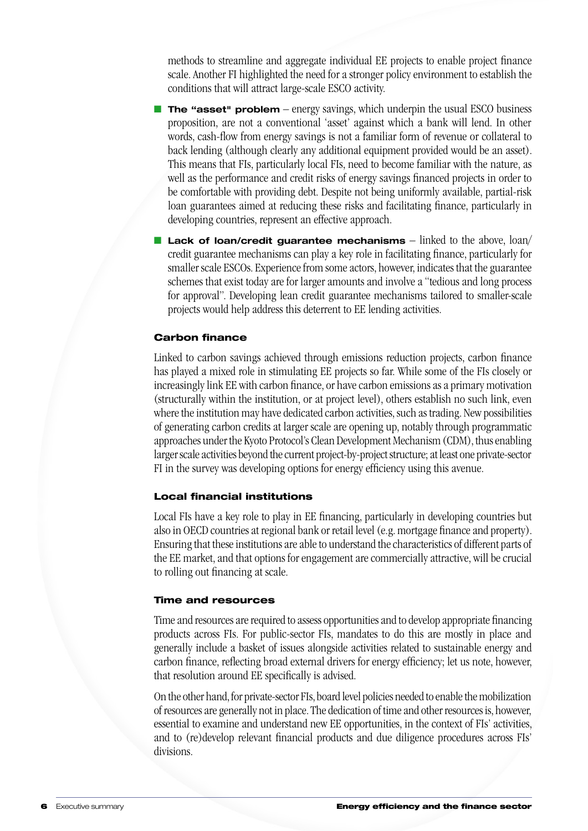methods to streamline and aggregate individual EE projects to enable project finance scale. Another FI highlighted the need for a stronger policy environment to establish the conditions that will attract large-scale ESCO activity.

- **The "asset" problem** energy savings, which underpin the usual ESCO business proposition, are not a conventional 'asset' against which a bank will lend. In other words, cash-flow from energy savings is not a familiar form of revenue or collateral to back lending (although clearly any additional equipment provided would be an asset). This means that FIs, particularly local FIs, need to become familiar with the nature, as well as the performance and credit risks of energy savings financed projects in order to be comfortable with providing debt. Despite not being uniformly available, partial-risk loan guarantees aimed at reducing these risks and facilitating finance, particularly in developing countries, represent an effective approach.
- **n Lack of loan/credit guarantee mechanisms** linked to the above, loan/ credit guarantee mechanisms can play a key role in facilitating finance, particularly for smaller scale ESCOs. Experience from some actors, however, indicates that the guarantee schemes that exist today are for larger amounts and involve a "tedious and long process for approval". Developing lean credit guarantee mechanisms tailored to smaller-scale projects would help address this deterrent to EE lending activities.

#### Carbon finance

Linked to carbon savings achieved through emissions reduction projects, carbon finance has played a mixed role in stimulating EE projects so far. While some of the FIs closely or increasingly link EE with carbon finance, or have carbon emissions as a primary motivation (structurally within the institution, or at project level), others establish no such link, even where the institution may have dedicated carbon activities, such as trading. New possibilities of generating carbon credits at larger scale are opening up, notably through programmatic approaches under the Kyoto Protocol's Clean Development Mechanism (CDM), thus enabling larger scale activities beyond the current project-by-project structure; at least one private-sector FI in the survey was developing options for energy efficiency using this avenue.

#### Local financial institutions

Local FIs have a key role to play in EE financing, particularly in developing countries but also in OECD countries at regional bank or retail level (e.g. mortgage finance and property). Ensuring that these institutions are able to understand the characteristics of different parts of the EE market, and that options for engagement are commercially attractive, will be crucial to rolling out financing at scale.

#### Time and resources

Time and resources are required to assess opportunities and to develop appropriate financing products across FIs. For public-sector FIs, mandates to do this are mostly in place and generally include a basket of issues alongside activities related to sustainable energy and carbon finance, reflecting broad external drivers for energy efficiency; let us note, however, that resolution around EE specifically is advised.

On the other hand, for private-sector FIs, board level policies needed to enable the mobilization of resources are generally not in place. The dedication of time and other resources is, however, essential to examine and understand new EE opportunities, in the context of FIs' activities, and to (re)develop relevant financial products and due diligence procedures across FIs' divisions.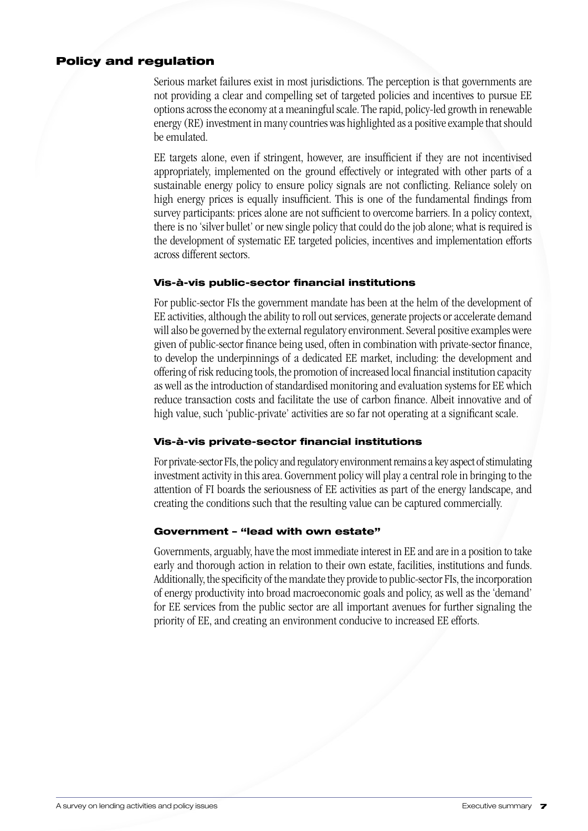#### Policy and regulation

Serious market failures exist in most jurisdictions. The perception is that governments are not providing a clear and compelling set of targeted policies and incentives to pursue EE options across the economy at a meaningful scale. The rapid, policy-led growth in renewable energy (RE) investment in many countries was highlighted as a positive example that should be emulated.

EE targets alone, even if stringent, however, are insufficient if they are not incentivised appropriately, implemented on the ground effectively or integrated with other parts of a sustainable energy policy to ensure policy signals are not conflicting. Reliance solely on high energy prices is equally insufficient. This is one of the fundamental findings from survey participants: prices alone are not sufficient to overcome barriers. In a policy context, there is no 'silver bullet' or new single policy that could do the job alone; what is required is the development of systematic EE targeted policies, incentives and implementation efforts across different sectors.

#### Vis-à-vis public-sector financial institutions

For public-sector FIs the government mandate has been at the helm of the development of EE activities, although the ability to roll out services, generate projects or accelerate demand will also be governed by the external regulatory environment. Several positive examples were given of public-sector finance being used, often in combination with private-sector finance, to develop the underpinnings of a dedicated EE market, including: the development and offering of risk reducing tools, the promotion of increased local financial institution capacity as well as the introduction of standardised monitoring and evaluation systems for EE which reduce transaction costs and facilitate the use of carbon finance. Albeit innovative and of high value, such 'public-private' activities are so far not operating at a significant scale.

#### Vis-à-vis private-sector financial institutions

For private-sector FIs, the policy and regulatory environment remains a key aspect of stimulating investment activity in this area. Government policy will play a central role in bringing to the attention of FI boards the seriousness of EE activities as part of the energy landscape, and creating the conditions such that the resulting value can be captured commercially.

#### Government – "lead with own estate"

Governments, arguably, have the most immediate interest in EE and are in a position to take early and thorough action in relation to their own estate, facilities, institutions and funds. Additionally, the specificity of the mandate they provide to public-sector FIs, the incorporation of energy productivity into broad macroeconomic goals and policy, as well as the 'demand' for EE services from the public sector are all important avenues for further signaling the priority of EE, and creating an environment conducive to increased EE efforts.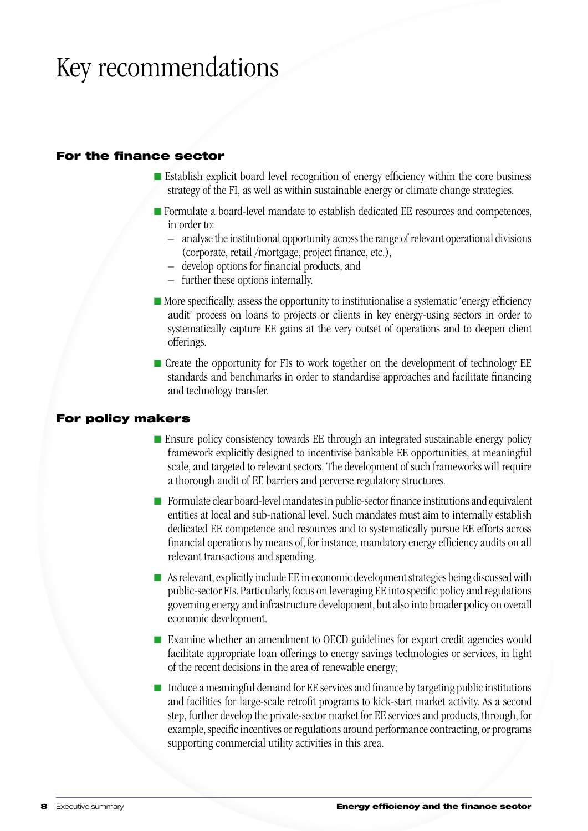## Key recommendations

#### For the finance sector

- n Establish explicit board level recognition of energy efficiency within the core business strategy of the FI, as well as within sustainable energy or climate change strategies.
- n Formulate a board-level mandate to establish dedicated EE resources and competences, in order to:
	- analyse the institutional opportunity across the range of relevant operational divisions (corporate, retail /mortgage, project finance, etc.),
	- develop options for financial products, and
	- further these options internally.
- $\blacksquare$  More specifically, assess the opportunity to institutionalise a systematic 'energy efficiency audit' process on loans to projects or clients in key energy-using sectors in order to systematically capture EE gains at the very outset of operations and to deepen client offerings.
- $\blacksquare$  Create the opportunity for FIs to work together on the development of technology EE standards and benchmarks in order to standardise approaches and facilitate financing and technology transfer.

#### For policy makers

- $\blacksquare$  Ensure policy consistency towards EE through an integrated sustainable energy policy framework explicitly designed to incentivise bankable EE opportunities, at meaningful scale, and targeted to relevant sectors. The development of such frameworks will require a thorough audit of EE barriers and perverse regulatory structures.
- Formulate clear board-level mandates in public-sector finance institutions and equivalent entities at local and sub-national level. Such mandates must aim to internally establish dedicated EE competence and resources and to systematically pursue EE efforts across financial operations by means of, for instance, mandatory energy efficiency audits on all relevant transactions and spending.
- $\blacksquare$  As relevant, explicitly include EE in economic development strategies being discussed with public-sector FIs. Particularly, focus on leveraging EE into specific policy and regulations governing energy and infrastructure development, but also into broader policy on overall economic development.
- Examine whether an amendment to OECD guidelines for export credit agencies would facilitate appropriate loan offerings to energy savings technologies or services, in light of the recent decisions in the area of renewable energy;
- $\blacksquare$  Induce a meaningful demand for EE services and finance by targeting public institutions and facilities for large-scale retrofit programs to kick-start market activity. As a second step, further develop the private-sector market for EE services and products, through, for example, specific incentives or regulations around performance contracting, or programs supporting commercial utility activities in this area.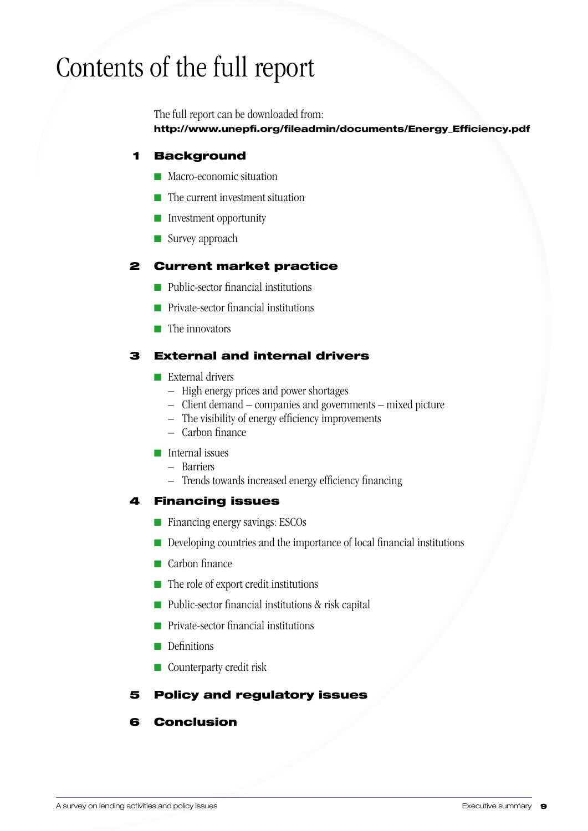## Contents of the full report

The full report can be downloaded from: http://www.unepfi.org/fileadmin/documents/Energy\_Efficiency.pdf

#### 1 Background

- n Macro-economic situation
- $\blacksquare$  The current investment situation
- $\blacksquare$  Investment opportunity
- $\blacksquare$  Survey approach

#### 2 Current market practice

- n Public-sector financial institutions
- $\blacksquare$  Private-sector financial institutions
- $\blacksquare$  The innovators

#### 3 External and internal drivers

- $\blacksquare$  External drivers
	- High energy prices and power shortages
	- Client demand companies and governments mixed picture
	- The visibility of energy efficiency improvements
	- Carbon finance
- nternal issues
	- Barriers
	- Trends towards increased energy efficiency financing

#### 4 Financing issues

- Financing energy savings: ESCOs
- $\blacksquare$  Developing countries and the importance of local financial institutions
- $\blacksquare$  Carbon finance
- $\blacksquare$  The role of export credit institutions
- Public-sector financial institutions & risk capital
- $\blacksquare$  Private-sector financial institutions
- $\Box$  Definitions
- $\blacksquare$  Counterparty credit risk

### 5 Policy and regulatory issues

### 6 Conclusion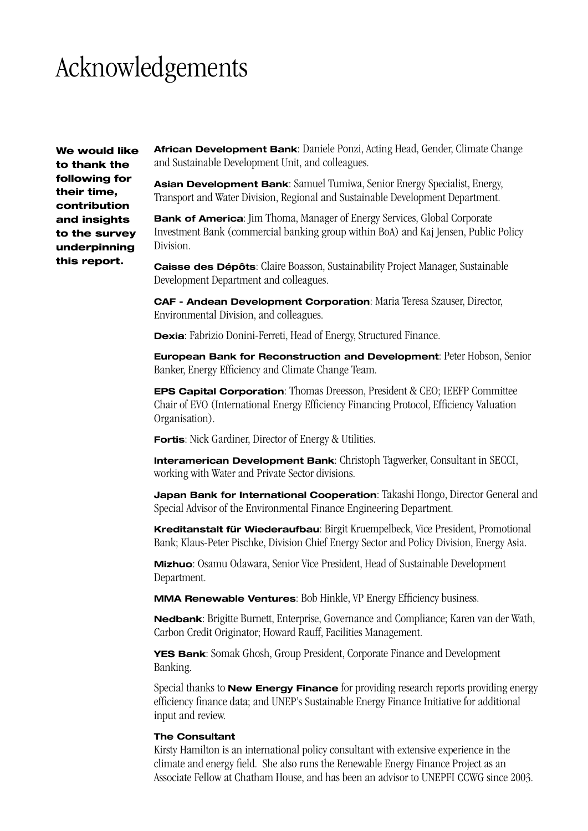### Acknowledgements

We would like to thank the following for their time, contribution and insights to the survey underpinning this report.

**African Development Bank**: Daniele Ponzi, Acting Head, Gender, Climate Change and Sustainable Development Unit, and colleagues.

**Asian Development Bank**: Samuel Tumiwa, Senior Energy Specialist, Energy, Transport and Water Division, Regional and Sustainable Development Department.

**Bank of America**: Jim Thoma, Manager of Energy Services, Global Corporate Investment Bank (commercial banking group within BoA) and Kaj Jensen, Public Policy Division.

**Caisse des Dépôts**: Claire Boasson, Sustainability Project Manager, Sustainable Development Department and colleagues.

**CAF - Andean Development Corporation**: Maria Teresa Szauser, Director, Environmental Division, and colleagues.

**Dexia**: Fabrizio Donini-Ferreti, Head of Energy, Structured Finance.

**European Bank for Reconstruction and Development**: Peter Hobson, Senior Banker, Energy Efficiency and Climate Change Team.

**EPS Capital Corporation**: Thomas Dreesson, President & CEO; IEEFP Committee Chair of EVO (International Energy Efficiency Financing Protocol, Efficiency Valuation Organisation).

**Fortis**: Nick Gardiner, Director of Energy & Utilities.

**Interamerican Development Bank**: Christoph Tagwerker, Consultant in SECCI, working with Water and Private Sector divisions.

**Japan Bank for International Cooperation**: Takashi Hongo, Director General and Special Advisor of the Environmental Finance Engineering Department.

**Kreditanstalt für Wiederaufbau**: Birgit Kruempelbeck, Vice President, Promotional Bank; Klaus-Peter Pischke, Division Chief Energy Sector and Policy Division, Energy Asia.

**Mizhuo**: Osamu Odawara, Senior Vice President, Head of Sustainable Development Department.

**MMA Renewable Ventures**: Bob Hinkle, VP Energy Efficiency business.

**Nedbank**: Brigitte Burnett, Enterprise, Governance and Compliance; Karen van der Wath, Carbon Credit Originator; Howard Rauff, Facilities Management.

**YES Bank**: Somak Ghosh, Group President, Corporate Finance and Development Banking.

Special thanks to **New Energy Finance** for providing research reports providing energy efficiency finance data; and UNEP's Sustainable Energy Finance Initiative for additional input and review.

#### **The Consultant**

Kirsty Hamilton is an international policy consultant with extensive experience in the climate and energy field. She also runs the Renewable Energy Finance Project as an Associate Fellow at Chatham House, and has been an advisor to UNEPFI CCWG since 2003.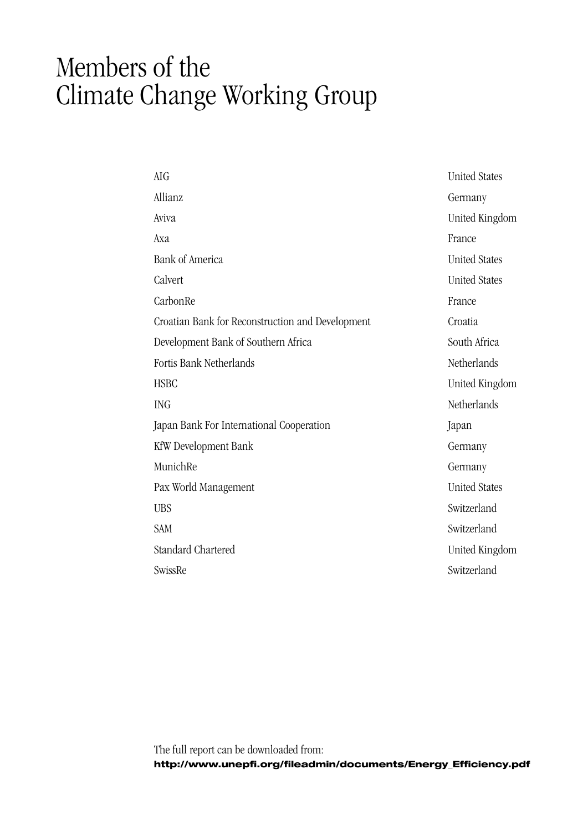### Members of the Climate Change Working Group

| <b>AIG</b>                                       | <b>United States</b> |
|--------------------------------------------------|----------------------|
| Allianz                                          | Germany              |
| Aviva                                            | United Kingdom       |
| Axa                                              | France               |
| <b>Bank of America</b>                           | <b>United States</b> |
| Calvert                                          | <b>United States</b> |
| CarbonRe                                         | France               |
| Croatian Bank for Reconstruction and Development | Croatia              |
| Development Bank of Southern Africa              | South Africa         |
| Fortis Bank Netherlands                          | Netherlands          |
| <b>HSBC</b>                                      | United Kingdom       |
| <b>ING</b>                                       | Netherlands          |
| Japan Bank For International Cooperation         | Japan                |
| KfW Development Bank                             | Germany              |
| MunichRe                                         | Germany              |
| Pax World Management                             | <b>United States</b> |
| <b>UBS</b>                                       | Switzerland          |
| <b>SAM</b>                                       | Switzerland          |
| <b>Standard Chartered</b>                        | United Kingdom       |
| SwissRe                                          | Switzerland          |
|                                                  |                      |

The full report can be downloaded from: